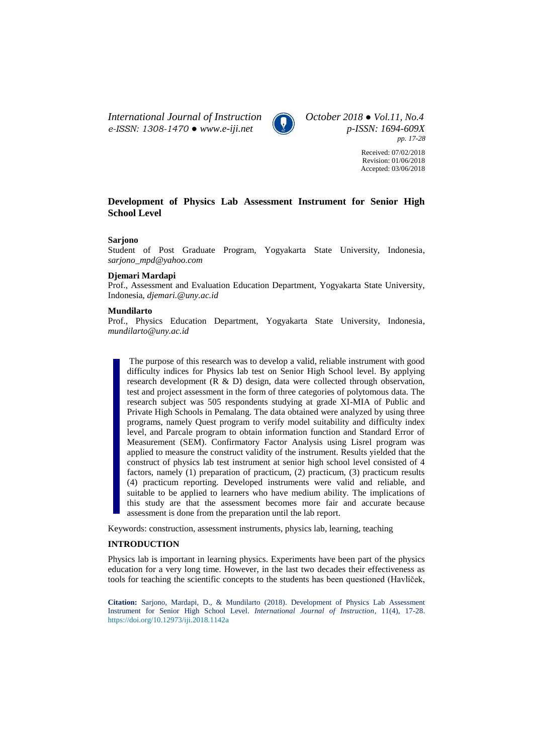*International Journal of Instruction October 2018 ● Vol.11, No.4 e-ISSN: 1308-1470 ● [www.e-iji.net](http://www.e-iji.net/) p-ISSN: 1694-609X*



*pp. 17-28*

Received: 07/02/2018 Revision: 01/06/2018 Accepted: 03/06/2018

# **Development of Physics Lab Assessment Instrument for Senior High School Level**

### **Sarjono**

Student of Post Graduate Program, Yogyakarta State University, Indonesia, *sarjono\_mpd@yahoo.com*

### **Djemari Mardapi**

Prof., Assessment and Evaluation Education Department, Yogyakarta State University, Indonesia, *djemari.@uny.ac.id*

#### **Mundilarto**

Prof., Physics Education Department, Yogyakarta State University, Indonesia, *mundilarto@uny.ac.id*

The purpose of this research was to develop a valid, reliable instrument with good difficulty indices for Physics lab test on Senior High School level. By applying research development (R & D) design, data were collected through observation, test and project assessment in the form of three categories of polytomous data. The research subject was 505 respondents studying at grade XI-MIA of Public and Private High Schools in Pemalang. The data obtained were analyzed by using three programs, namely Quest program to verify model suitability and difficulty index level, and Parcale program to obtain information function and Standard Error of Measurement (SEM). Confirmatory Factor Analysis using Lisrel program was applied to measure the construct validity of the instrument. Results yielded that the construct of physics lab test instrument at senior high school level consisted of 4 factors, namely (1) preparation of practicum, (2) practicum, (3) practicum results (4) practicum reporting. Developed instruments were valid and reliable, and suitable to be applied to learners who have medium ability. The implications of this study are that the assessment becomes more fair and accurate because assessment is done from the preparation until the lab report.

Keywords: construction, assessment instruments, physics lab, learning, teaching

# **INTRODUCTION**

Physics lab is important in learning physics. Experiments have been part of the physics education for a very long time. However, in the last two decades their effectiveness as tools for teaching the scientific concepts to the students has been questioned (Havlíček,

**Citation:** Sarjono, Mardapi, D., & Mundilarto (2018). Development of Physics Lab Assessment Instrument for Senior High School Level. *International Journal of Instruction*, 11(4), 17-28. <https://doi.org/10.12973/iji.2018.1142a>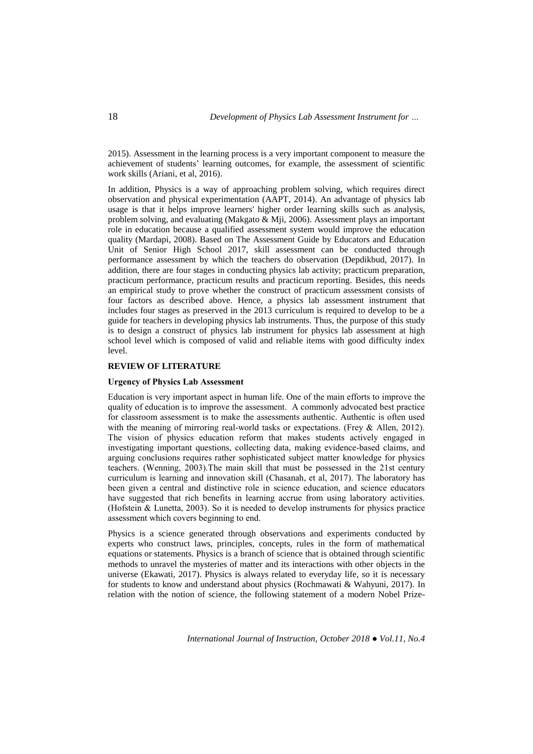2015). Assessment in the learning process is a very important component to measure the achievement of students' learning outcomes, for example, the assessment of scientific work skills (Ariani, et al, 2016).

In addition, Physics is a way of approaching problem solving, which requires direct observation and physical experimentation (AAPT, 2014). An advantage of physics lab usage is that it helps improve learners' higher order learning skills such as analysis, problem solving, and evaluating (Makgato & Mji, 2006). Assessment plays an important role in education because a qualified assessment system would improve the education quality (Mardapi, 2008). Based on The Assessment Guide by Educators and Education Unit of Senior High School 2017, skill assessment can be conducted through performance assessment by which the teachers do observation (Depdikbud, 2017). In addition, there are four stages in conducting physics lab activity; practicum preparation, practicum performance, practicum results and practicum reporting. Besides, this needs an empirical study to prove whether the construct of practicum assessment consists of four factors as described above. Hence, a physics lab assessment instrument that includes four stages as preserved in the 2013 curriculum is required to develop to be a guide for teachers in developing physics lab instruments. Thus, the purpose of this study is to design a construct of physics lab instrument for physics lab assessment at high school level which is composed of valid and reliable items with good difficulty index level.

### **REVIEW OF LITERATURE**

#### **Urgency of Physics Lab Assessment**

Education is very important aspect in human life. One of the main efforts to improve the quality of education is to improve the assessment. A commonly advocated best practice for classroom assessment is to make the assessments authentic. Authentic is often used with the meaning of mirroring real-world tasks or expectations. (Frey & Allen, 2012). The vision of physics education reform that makes students actively engaged in investigating important questions, collecting data, making evidence-based claims, and arguing conclusions requires rather sophisticated subject matter knowledge for physics teachers. (Wenning, 2003).The main skill that must be possessed in the 21st century curriculum is learning and innovation skill (Chasanah, et al, 2017). The laboratory has been given a central and distinctive role in science education, and science educators have suggested that rich benefits in learning accrue from using laboratory activities. (Hofstein & Lunetta, 2003). So it is needed to develop instruments for physics practice assessment which covers beginning to end.

Physics is a science generated through observations and experiments conducted by experts who construct laws, principles, concepts, rules in the form of mathematical equations or statements. Physics is a branch of science that is obtained through scientific methods to unravel the mysteries of matter and its interactions with other objects in the universe (Ekawati, 2017). Physics is always related to everyday life, so it is necessary for students to know and understand about physics (Rochmawati & Wahyuni, 2017). In relation with the notion of science, the following statement of a modern Nobel Prize-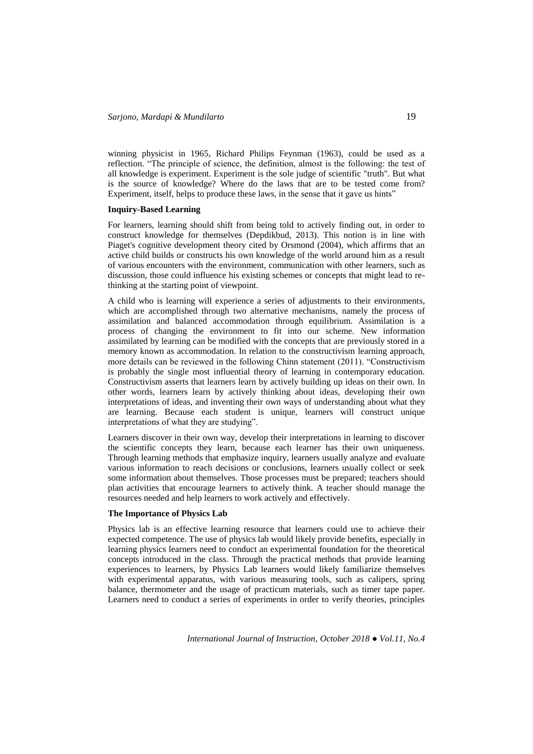winning physicist in 1965, Richard Philips Feynman (1963), could be used as a reflection. "The principle of science, the definition, almost is the following: the test of all knowledge is experiment. Experiment is the sole judge of scientific "truth". But what is the source of knowledge? Where do the laws that are to be tested come from? Experiment, itself, helps to produce these laws, in the sense that it gave us hints"

### **Inquiry-Based Learning**

For learners, learning should shift from being told to actively finding out, in order to construct knowledge for themselves (Depdikbud, 2013). This notion is in line with Piaget's cognitive development theory cited by Orsmond (2004), which affirms that an active child builds or constructs his own knowledge of the world around him as a result of various encounters with the environment, communication with other learners, such as discussion, those could influence his existing schemes or concepts that might lead to rethinking at the starting point of viewpoint.

A child who is learning will experience a series of adjustments to their environments, which are accomplished through two alternative mechanisms, namely the process of assimilation and balanced accommodation through equilibrium. Assimilation is a process of changing the environment to fit into our scheme. New information assimilated by learning can be modified with the concepts that are previously stored in a memory known as accommodation. In relation to the constructivism learning approach, more details can be reviewed in the following Chinn statement (2011). "Constructivism is probably the single most influential theory of learning in contemporary education. Constructivism asserts that learners learn by actively building up ideas on their own. In other words, learners learn by actively thinking about ideas, developing their own interpretations of ideas, and inventing their own ways of understanding about what they are learning. Because each student is unique, learners will construct unique interpretations of what they are studying".

Learners discover in their own way, develop their interpretations in learning to discover the scientific concepts they learn, because each learner has their own uniqueness. Through learning methods that emphasize inquiry, learners usually analyze and evaluate various information to reach decisions or conclusions, learners usually collect or seek some information about themselves. Those processes must be prepared; teachers should plan activities that encourage learners to actively think. A teacher should manage the resources needed and help learners to work actively and effectively.

# **The Importance of Physics Lab**

Physics lab is an effective learning resource that learners could use to achieve their expected competence. The use of physics lab would likely provide benefits, especially in learning physics learners need to conduct an experimental foundation for the theoretical concepts introduced in the class. Through the practical methods that provide learning experiences to learners, by Physics Lab learners would likely familiarize themselves with experimental apparatus, with various measuring tools, such as calipers, spring balance, thermometer and the usage of practicum materials, such as timer tape paper. Learners need to conduct a series of experiments in order to verify theories, principles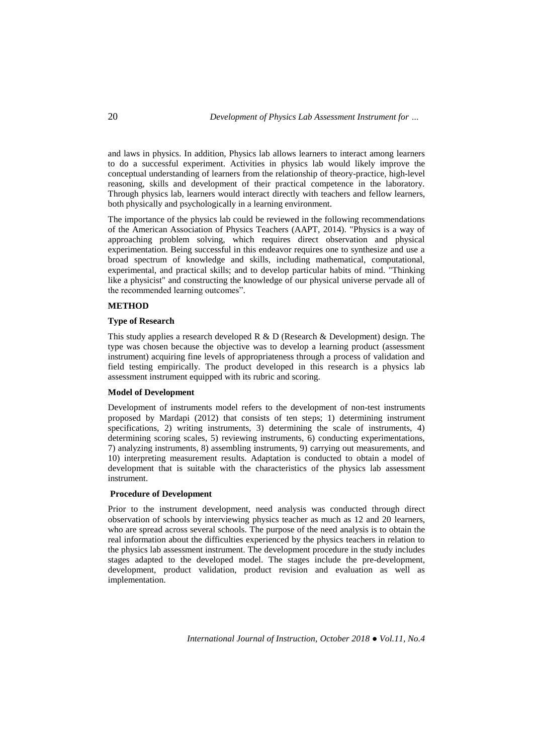and laws in physics. In addition, Physics lab allows learners to interact among learners to do a successful experiment. Activities in physics lab would likely improve the conceptual understanding of learners from the relationship of theory-practice, high-level reasoning, skills and development of their practical competence in the laboratory. Through physics lab, learners would interact directly with teachers and fellow learners, both physically and psychologically in a learning environment.

The importance of the physics lab could be reviewed in the following recommendations of the American Association of Physics Teachers (AAPT, 2014). "Physics is a way of approaching problem solving, which requires direct observation and physical experimentation. Being successful in this endeavor requires one to synthesize and use a broad spectrum of knowledge and skills, including mathematical, computational, experimental, and practical skills; and to develop particular habits of mind. "Thinking like a physicist" and constructing the knowledge of our physical universe pervade all of the recommended learning outcomes".

## **METHOD**

### **Type of Research**

This study applies a research developed R & D (Research & Development) design. The type was chosen because the objective was to develop a learning product (assessment instrument) acquiring fine levels of appropriateness through a process of validation and field testing empirically. The product developed in this research is a physics lab assessment instrument equipped with its rubric and scoring.

## **Model of Development**

Development of instruments model refers to the development of non-test instruments proposed by Mardapi (2012) that consists of ten steps; 1) determining instrument specifications, 2) writing instruments, 3) determining the scale of instruments, 4) determining scoring scales, 5) reviewing instruments, 6) conducting experimentations, 7) analyzing instruments, 8) assembling instruments, 9) carrying out measurements, and 10) interpreting measurement results. Adaptation is conducted to obtain a model of development that is suitable with the characteristics of the physics lab assessment instrument.

# **Procedure of Development**

Prior to the instrument development, need analysis was conducted through direct observation of schools by interviewing physics teacher as much as 12 and 20 learners, who are spread across several schools. The purpose of the need analysis is to obtain the real information about the difficulties experienced by the physics teachers in relation to the physics lab assessment instrument. The development procedure in the study includes stages adapted to the developed model. The stages include the pre-development, development, product validation, product revision and evaluation as well as implementation.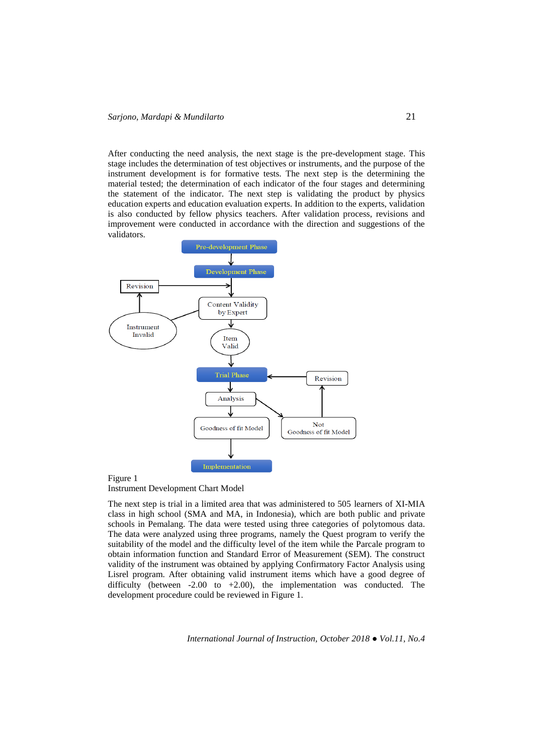After conducting the need analysis, the next stage is the pre-development stage. This stage includes the determination of test objectives or instruments, and the purpose of the instrument development is for formative tests. The next step is the determining the material tested; the determination of each indicator of the four stages and determining the statement of the indicator. The next step is validating the product by physics education experts and education evaluation experts. In addition to the experts, validation is also conducted by fellow physics teachers. After validation process, revisions and improvement were conducted in accordance with the direction and suggestions of the validators.



#### Figure 1

Instrument Development Chart Model

The next step is trial in a limited area that was administered to 505 learners of XI-MIA class in high school (SMA and MA, in Indonesia), which are both public and private schools in Pemalang. The data were tested using three categories of polytomous data. The data were analyzed using three programs, namely the Quest program to verify the suitability of the model and the difficulty level of the item while the Parcale program to obtain information function and Standard Error of Measurement (SEM). The construct validity of the instrument was obtained by applying Confirmatory Factor Analysis using Lisrel program. After obtaining valid instrument items which have a good degree of difficulty (between -2.00 to +2.00), the implementation was conducted. The development procedure could be reviewed in Figure 1.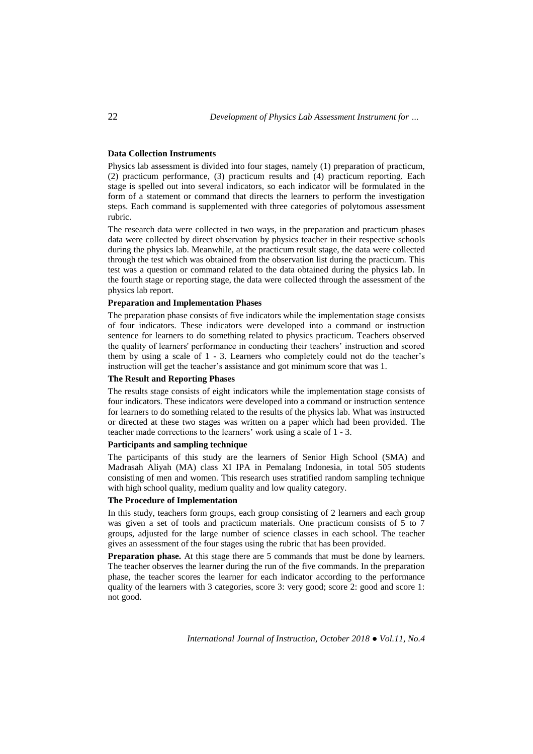## **Data Collection Instruments**

Physics lab assessment is divided into four stages, namely (1) preparation of practicum, (2) practicum performance, (3) practicum results and (4) practicum reporting. Each stage is spelled out into several indicators, so each indicator will be formulated in the form of a statement or command that directs the learners to perform the investigation steps. Each command is supplemented with three categories of polytomous assessment rubric.

The research data were collected in two ways, in the preparation and practicum phases data were collected by direct observation by physics teacher in their respective schools during the physics lab. Meanwhile, at the practicum result stage, the data were collected through the test which was obtained from the observation list during the practicum. This test was a question or command related to the data obtained during the physics lab. In the fourth stage or reporting stage, the data were collected through the assessment of the physics lab report.

### **Preparation and Implementation Phases**

The preparation phase consists of five indicators while the implementation stage consists of four indicators. These indicators were developed into a command or instruction sentence for learners to do something related to physics practicum. Teachers observed the quality of learners' performance in conducting their teachers' instruction and scored them by using a scale of 1 - 3. Learners who completely could not do the teacher's instruction will get the teacher's assistance and got minimum score that was 1.

### **The Result and Reporting Phases**

The results stage consists of eight indicators while the implementation stage consists of four indicators. These indicators were developed into a command or instruction sentence for learners to do something related to the results of the physics lab. What was instructed or directed at these two stages was written on a paper which had been provided. The teacher made corrections to the learners' work using a scale of 1 - 3.

# **Participants and sampling technique**

The participants of this study are the learners of Senior High School (SMA) and Madrasah Aliyah (MA) class XI IPA in Pemalang Indonesia, in total 505 students consisting of men and women. This research uses stratified random sampling technique with high school quality, medium quality and low quality category.

## **The Procedure of Implementation**

In this study, teachers form groups, each group consisting of 2 learners and each group was given a set of tools and practicum materials. One practicum consists of 5 to 7 groups, adjusted for the large number of science classes in each school. The teacher gives an assessment of the four stages using the rubric that has been provided.

**Preparation phase.** At this stage there are 5 commands that must be done by learners. The teacher observes the learner during the run of the five commands. In the preparation phase, the teacher scores the learner for each indicator according to the performance quality of the learners with 3 categories, score 3: very good; score 2: good and score 1: not good.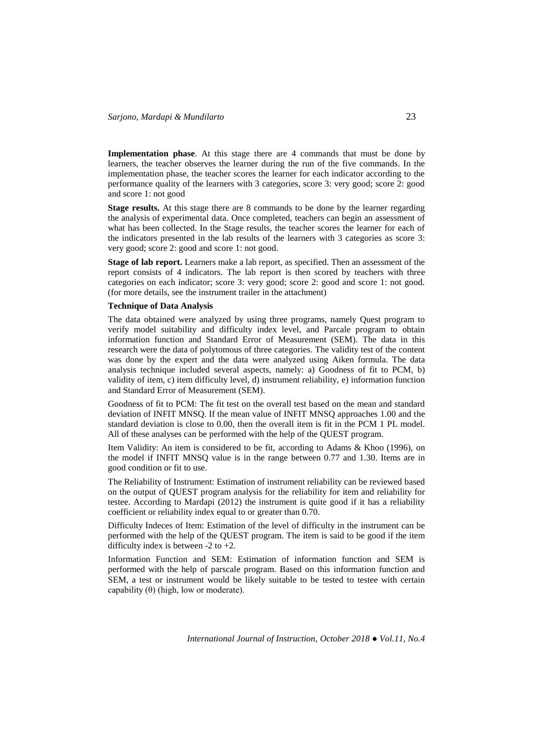**Implementation phase.** At this stage there are 4 commands that must be done by learners, the teacher observes the learner during the run of the five commands. In the implementation phase, the teacher scores the learner for each indicator according to the performance quality of the learners with 3 categories, score 3: very good; score 2: good and score 1: not good

**Stage results.** At this stage there are 8 commands to be done by the learner regarding the analysis of experimental data. Once completed, teachers can begin an assessment of what has been collected. In the Stage results, the teacher scores the learner for each of the indicators presented in the lab results of the learners with 3 categories as score 3: very good; score 2: good and score 1: not good.

**Stage of lab report.** Learners make a lab report, as specified. Then an assessment of the report consists of 4 indicators. The lab report is then scored by teachers with three categories on each indicator; score 3: very good; score 2: good and score 1: not good. (for more details, see the instrument trailer in the attachment)

#### **Technique of Data Analysis**

The data obtained were analyzed by using three programs, namely Quest program to verify model suitability and difficulty index level, and Parcale program to obtain information function and Standard Error of Measurement (SEM). The data in this research were the data of polytomous of three categories. The validity test of the content was done by the expert and the data were analyzed using Aiken formula. The data analysis technique included several aspects, namely: a) Goodness of fit to PCM, b) validity of item, c) item difficulty level, d) instrument reliability, e) information function and Standard Error of Measurement (SEM).

Goodness of fit to PCM: The fit test on the overall test based on the mean and standard deviation of INFIT MNSQ. If the mean value of INFIT MNSQ approaches 1.00 and the standard deviation is close to 0.00, then the overall item is fit in the PCM 1 PL model. All of these analyses can be performed with the help of the QUEST program.

Item Validity: An item is considered to be fit, according to Adams & Khoo (1996), on the model if INFIT MNSQ value is in the range between 0.77 and 1.30. Items are in good condition or fit to use.

The Reliability of Instrument: Estimation of instrument reliability can be reviewed based on the output of QUEST program analysis for the reliability for item and reliability for testee. According to Mardapi (2012) the instrument is quite good if it has a reliability coefficient or reliability index equal to or greater than 0.70.

Difficulty Indeces of Item: Estimation of the level of difficulty in the instrument can be performed with the help of the QUEST program. The item is said to be good if the item difficulty index is between  $-2$  to  $+2$ .

Information Function and SEM: Estimation of information function and SEM is performed with the help of parscale program. Based on this information function and SEM, a test or instrument would be likely suitable to be tested to testee with certain capability  $(\theta)$  (high, low or moderate).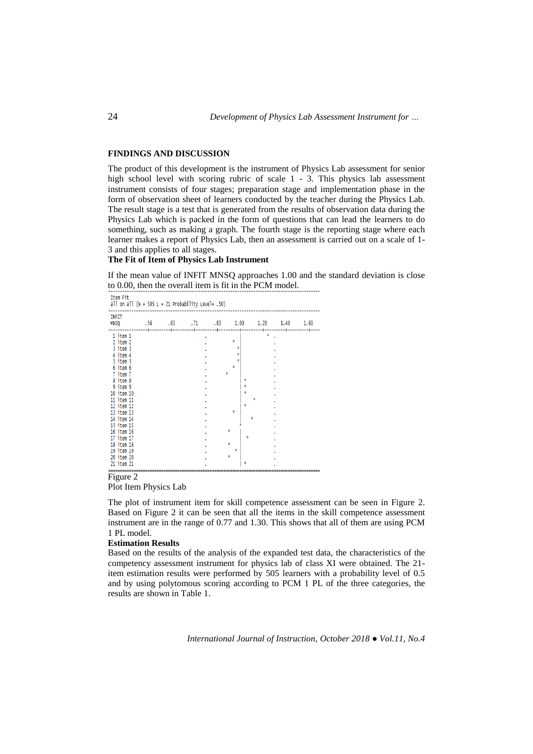### **FINDINGS AND DISCUSSION**

The product of this development is the instrument of Physics Lab assessment for senior high school level with scoring rubric of scale 1 - 3. This physics lab assessment instrument consists of four stages; preparation stage and implementation phase in the form of observation sheet of learners conducted by the teacher during the Physics Lab. The result stage is a test that is generated from the results of observation data during the Physics Lab which is packed in the form of questions that can lead the learners to do something, such as making a graph. The fourth stage is the reporting stage where each learner makes a report of Physics Lab, then an assessment is carried out on a scale of 1- 3 and this applies to all stages.

# **The Fit of Item of Physics Lab Instrument**

If the mean value of INFIT MNSQ approaches 1.00 and the standard deviation is close to 0.00, then the overall item is fit in the PCM model.

| TTEM FIL<br>all on all ( $N = 505$ L = 21 Probability Level= .50)                                                                                                                            |  |  |  |   |                                 |  |  |  |  |
|----------------------------------------------------------------------------------------------------------------------------------------------------------------------------------------------|--|--|--|---|---------------------------------|--|--|--|--|
| <b>INFIT</b><br>MN5Q .56 .63 .71 .83 1.00 1.20 1.40 1.60                                                                                                                                     |  |  |  |   |                                 |  |  |  |  |
| 1 item 1<br>2 item 2<br>3 item 3<br>4 item 4<br>5 item 5<br>6 item 6<br>7 item 7<br>8 item 8<br>9 item 9<br>10 item 10<br>11 item 11<br>12 item 12<br>13 item 13<br>14 item 14<br>15 item 15 |  |  |  | ŵ | ŵ<br>ŵ<br>ŵ<br>Ý<br>ý<br>Ý<br>Ý |  |  |  |  |
| 16 item 16<br>17 item 17<br>18 item 18<br>19 item 19<br>20 item 20<br>21 item 21                                                                                                             |  |  |  |   | ŵ<br>ŵ<br>ŵ<br>ŵ<br>ŵ           |  |  |  |  |

## Figure 2

Plot Item Physics Lab

The plot of instrument item for skill competence assessment can be seen in Figure 2. Based on Figure 2 it can be seen that all the items in the skill competence assessment instrument are in the range of 0.77 and 1.30. This shows that all of them are using PCM 1 PL model.

## **Estimation Results**

Based on the results of the analysis of the expanded test data, the characteristics of the competency assessment instrument for physics lab of class XI were obtained. The 21 item estimation results were performed by 505 learners with a probability level of 0.5 and by using polytomous scoring according to PCM 1 PL of the three categories, the results are shown in Table 1.

*International Journal of Instruction, October 2018 ● Vol.11, No.4*

 $T+am$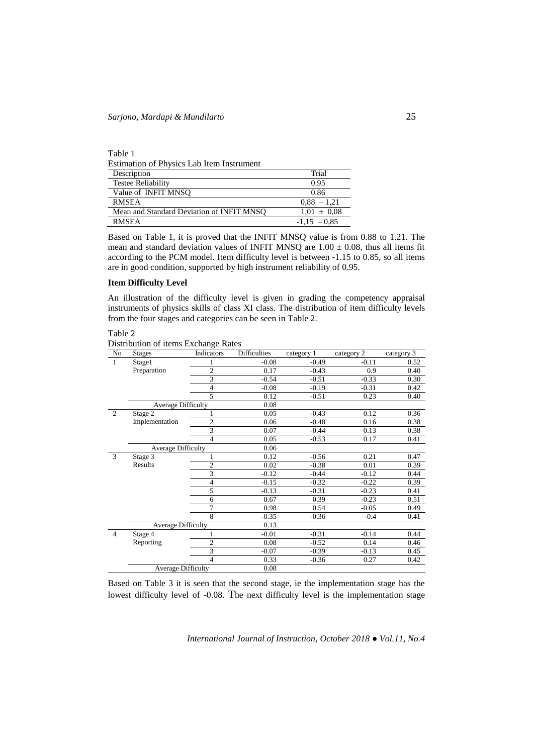Table 1

Estimation of Physics Lab Item Instrument

| Description                               | Trial           |
|-------------------------------------------|-----------------|
| <b>Testee Reliability</b>                 | 0.95            |
| Value of INFIT MNSO                       | 0.86            |
| <b>RMSEA</b>                              | $0.88 - 1.21$   |
| Mean and Standard Deviation of INFIT MNSO | $1.01 \pm 0.08$ |
| <b>RMSEA</b>                              | $-1.15 - 0.85$  |

Based on Table 1, it is proved that the INFIT MNSQ value is from 0.88 to 1.21. The mean and standard deviation values of INFIT MNSQ are  $1.00 \pm 0.08$ , thus all items fit according to the PCM model. Item difficulty level is between -1.15 to 0.85, so all items are in good condition, supported by high instrument reliability of 0.95.

#### **Item Difficulty Level**

An illustration of the difficulty level is given in grading the competency appraisal instruments of physics skills of class XI class. The distribution of item difficulty levels from the four stages and categories can be seen in Table 2.

Table 2

Distribution of items Exchange Rates

| No             | <b>Stages</b>             | Indicators     | <b>Difficulties</b> | category 1 | category 2 | category 3 |
|----------------|---------------------------|----------------|---------------------|------------|------------|------------|
| $\mathbf{1}$   | Stage1                    |                | $-0.08$             | $-0.49$    | $-0.11$    | 0.52       |
|                | Preparation               | $\overline{c}$ | 0.17                | $-0.43$    | 0.9        | 0.40       |
|                |                           | 3              | $-0.54$             | $-0.51$    | $-0.33$    | 0.30       |
|                |                           | $\overline{4}$ | $-0.08$             | $-0.19$    | $-0.31$    | 0.42       |
|                |                           | 5              | 0.12                | $-0.51$    | 0.23       | 0.40       |
|                | Average Difficulty        |                | 0.08                |            |            |            |
| 2              | Stage 2                   |                | 0.05                | $-0.43$    | 0.12       | 0.36       |
|                | Implementation            | $\overline{c}$ | 0.06                | $-0.48$    | 0.16       | 0.38       |
|                |                           | $\overline{3}$ | 0.07                | $-0.44$    | 0.13       | 0.38       |
|                |                           | $\overline{4}$ | 0.05                | $-0.53$    | 0.17       | 0.41       |
|                | <b>Average Difficulty</b> |                | 0.06                |            |            |            |
| 3              | Stage 3                   | 1              | 0.12                | $-0.56$    | 0.21       | 0.47       |
|                | Results                   | $\overline{c}$ | 0.02                | $-0.38$    | 0.01       | 0.39       |
|                |                           | $\overline{3}$ | $-0.12$             | $-0.44$    | $-0.12$    | 0.44       |
|                |                           | $\overline{4}$ | $-0.15$             | $-0.32$    | $-0.22$    | 0.39       |
|                |                           | 5              | $-0.13$             | $-0.31$    | $-0.23$    | 0.41       |
|                |                           | 6              | 0.67                | 0.39       | $-0.23$    | 0.51       |
|                |                           | $\overline{7}$ | 0.98                | 0.54       | $-0.05$    | 0.49       |
|                |                           | 8              | $-0.35$             | $-0.36$    | $-0.4$     | 0.41       |
|                | Average Difficulty        |                | 0.13                |            |            |            |
| $\overline{4}$ | Stage 4                   | 1              | $-0.01$             | $-0.31$    | $-0.14$    | 0.44       |
|                | Reporting                 | $\overline{c}$ | 0.08                | $-0.52$    | 0.14       | 0.46       |
|                |                           | 3              | $-0.07$             | $-0.39$    | $-0.13$    | 0.45       |
|                |                           | $\overline{4}$ | 0.33                | $-0.36$    | 0.27       | 0.42       |
|                | <b>Average Difficulty</b> |                | 0.08                |            |            |            |

Based on Table 3 it is seen that the second stage, ie the implementation stage has the lowest difficulty level of -0.08. The next difficulty level is the implementation stage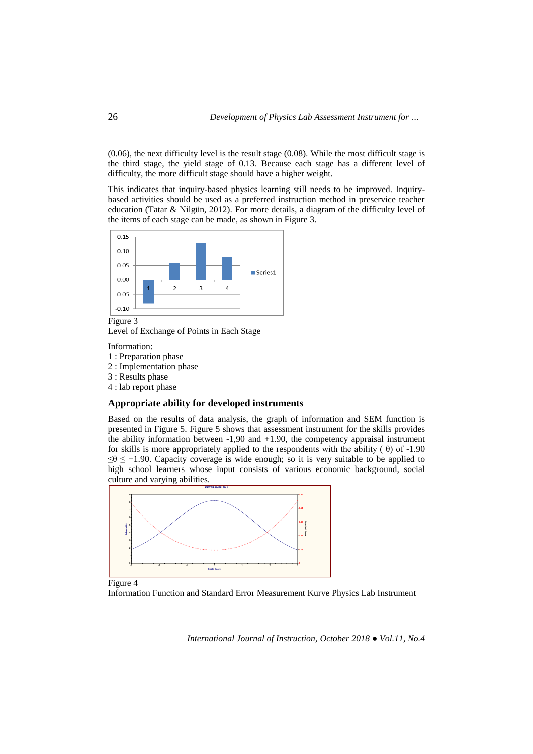(0.06), the next difficulty level is the result stage (0.08). While the most difficult stage is the third stage, the yield stage of 0.13. Because each stage has a different level of difficulty, the more difficult stage should have a higher weight.

This indicates that inquiry-based physics learning still needs to be improved. Inquirybased activities should be used as a preferred instruction method in preservice teacher education (Tatar & Nilgün, 2012). For more details, a diagram of the difficulty level of the items of each stage can be made, as shown in Figure 3.



Level of Exchange of Points in Each Stage

Information:

- 1 : Preparation phase
- 2 : Implementation phase
- 3 : Results phase
- 4 : lab report phase

# **Appropriate ability for developed instruments**

Based on the results of data analysis, the graph of information and SEM function is presented in Figure 5. Figure 5 shows that assessment instrument for the skills provides the ability information between -1,90 and +1.90, the competency appraisal instrument for skills is more appropriately applied to the respondents with the ability  $(\theta)$  of -1.90  $\leq \theta \leq +1.90$ . Capacity coverage is wide enough; so it is very suitable to be applied to high school learners whose input consists of various economic background, social culture and varying abilities.



Information Function and Standard Error Measurement Kurve Physics Lab Instrument Figure 4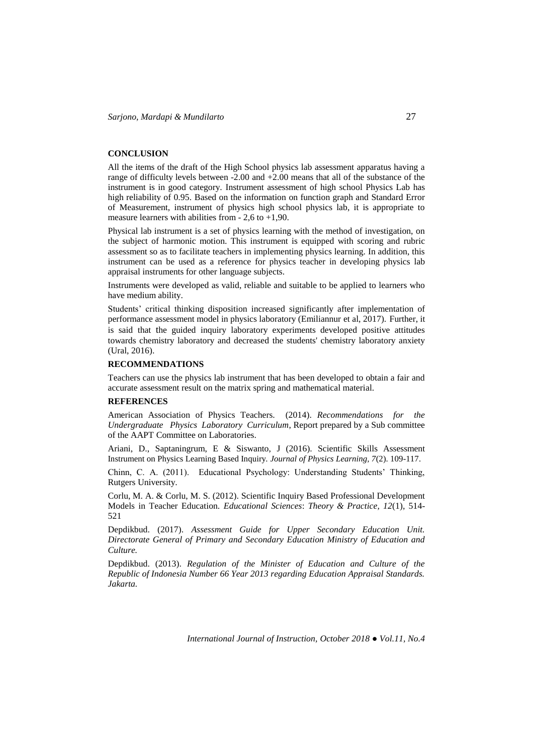## **CONCLUSION**

All the items of the draft of the High School physics lab assessment apparatus having a range of difficulty levels between -2.00 and +2.00 means that all of the substance of the instrument is in good category. Instrument assessment of high school Physics Lab has high reliability of 0.95. Based on the information on function graph and Standard Error of Measurement, instrument of physics high school physics lab, it is appropriate to measure learners with abilities from  $-2,6$  to  $+1,90$ .

Physical lab instrument is a set of physics learning with the method of investigation, on the subject of harmonic motion. This instrument is equipped with scoring and rubric assessment so as to facilitate teachers in implementing physics learning. In addition, this instrument can be used as a reference for physics teacher in developing physics lab appraisal instruments for other language subjects.

Instruments were developed as valid, reliable and suitable to be applied to learners who have medium ability.

Students' critical thinking disposition increased significantly after implementation of performance assessment model in physics laboratory (Emiliannur et al, 2017). Further, it is said that the guided inquiry laboratory experiments developed positive attitudes towards chemistry laboratory and decreased the students' chemistry laboratory anxiety (Ural, 2016).

#### **RECOMMENDATIONS**

Teachers can use the physics lab instrument that has been developed to obtain a fair and accurate assessment result on the matrix spring and mathematical material.

### **REFERENCES**

American Association of Physics Teachers. (2014). *Recommendations for the Undergraduate Physics Laboratory Curriculum*, Report prepared by a Sub committee of the AAPT Committee on Laboratories.

Ariani, D., Saptaningrum, E & Siswanto, J (2016). Scientific Skills Assessment Instrument on Physics Learning Based Inquiry. *Journal of Physics Learning, 7*(2). 109-117.

Chinn, C. A. (2011). Educational Psychology: Understanding Students' Thinking, Rutgers University.

Corlu, M. A. & Corlu, M. S. (2012). Scientific Inquiry Based Professional Development Models in Teacher Education. *Educational Sciences*: *Theory & Practice, 12*(1), 514- 521

Depdikbud. (2017). *Assessment Guide for Upper Secondary Education Unit. Directorate General of Primary and Secondary Education Ministry of Education and Culture.*

Depdikbud. (2013). *Regulation of the Minister of Education and Culture of the Republic of Indonesia Number 66 Year 2013 regarding Education Appraisal Standards. Jakarta.*